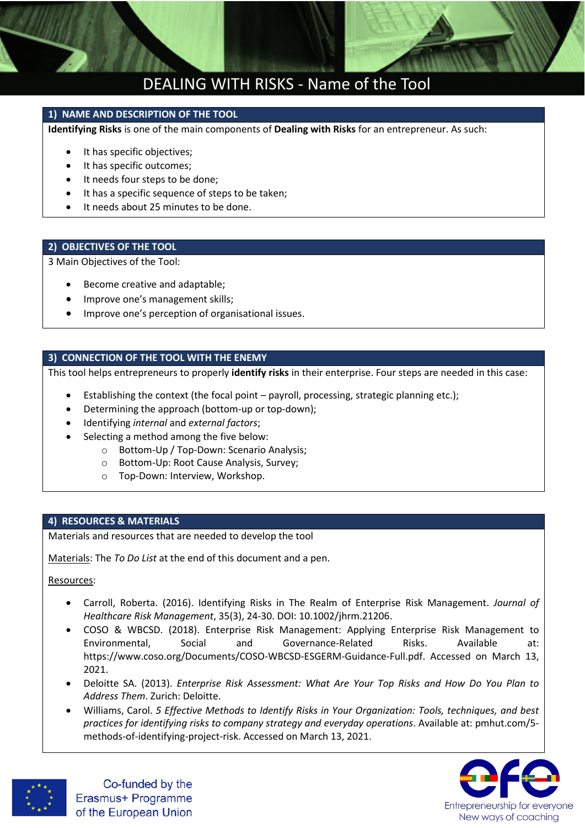

### DEALING WITH RISKS - Name of the Tool

### **1) NAME AND DESCRIPTION OF THE TOOL**

**Identifying Risks** is one of the main components of **Dealing with Risks** for an entrepreneur. As such:

- It has specific objectives;
- It has specific outcomes;
- It needs four steps to be done;
- It has a specific sequence of steps to be taken;
- It needs about 25 minutes to be done.

### **2) OBJECTIVES OF THE TOOL**

3 Main Objectives of the Tool:

- Become creative and adaptable;
- Improve one's management skills;
- **•** Improve one's perception of organisational issues.

### **3) CONNECTION OF THE TOOL WITH THE ENEMY**

This tool helps entrepreneurs to properly **identify risks** in their enterprise. Four steps are needed in this case:

- Establishing the context (the focal point payroll, processing, strategic planning etc.);
- Determining the approach (bottom-up or top-down);
- Identifying *internal* and *external factors*;
- Selecting a method among the five below:
	- o Bottom-Up / Top-Down: Scenario Analysis;
	- o Bottom-Up: Root Cause Analysis, Survey;
	- o Top-Down: Interview, Workshop.

### **4) RESOURCES & MATERIALS**

Materials and resources that are needed to develop the tool

Materials: The *To Do List* at the end of this document and a pen.

Resources:

- Carroll, Roberta. (2016). Identifying Risks in The Realm of Enterprise Risk Management. *Journal of Healthcare Risk Management*, 35(3), 24-30. DOI: 10.1002/jhrm.21206.
- COSO & WBCSD. (2018). Enterprise Risk Management: Applying Enterprise Risk Management to Environmental, Social and Governance-Related Risks. Available at: [https://www.coso.org/Documents/COSO-WBCSD-ESGERM-Guidance-Full.pdf.](https://www.coso.org/Documents/COSO-WBCSD-ESGERM-Guidance-Full.pdf) Accessed on March 13, 2021.
- Deloitte SA. (2013). *Enterprise Risk Assessment: What Are Your Top Risks and How Do You Plan to Address Them*. Zurich: Deloitte.
- Williams, Carol. *5 Effective Methods to Identify Risks in Your Organization: Tools, techniques, and best practices for identifying risks to company strategy and everyday operations*. Available at: pmhut.com/5 methods-of-identifying-project-risk. Accessed on March 13, 2021.



Co-funded by the Erasmus+ Programme of the European Union

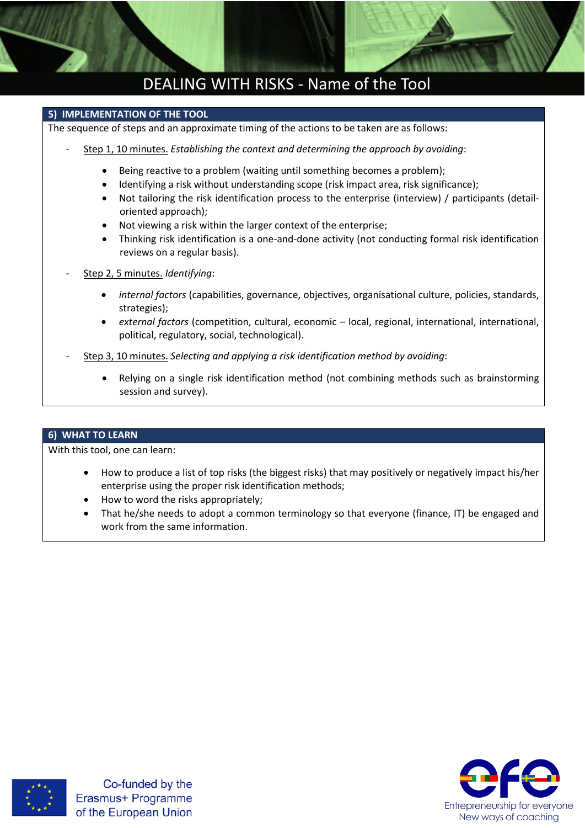

## DEALING WITH RISKS - Name of the Tool

### **5) IMPLEMENTATION OF THE TOOL**

The sequence of steps and an approximate timing of the actions to be taken are as follows:

- Step 1, 10 minutes. *Establishing the context and determining the approach by avoiding*:
	- Being reactive to a problem (waiting until something becomes a problem);
	- Identifying a risk without understanding scope (risk impact area, risk significance);
	- Not tailoring the risk identification process to the enterprise (interview) / participants (detailoriented approach);
	- Not viewing a risk within the larger context of the enterprise;
	- Thinking risk identification is a one-and-done activity (not conducting formal risk identification reviews on a regular basis).
- Step 2, 5 minutes. *Identifying*:
	- *internal factors* (capabilities, governance, objectives, organisational culture, policies, standards, strategies);
	- *external factors* (competition, cultural, economic local, regional, international, international, political, regulatory, social, technological).
- Step 3, 10 minutes. *Selecting and applying a risk identification method by avoiding*:
	- Relying on a single risk identification method (not combining methods such as brainstorming session and survey).

### **6) WHAT TO LEARN**

With this tool, one can learn:

- How to produce a list of top risks (the biggest risks) that may positively or negatively impact his/her enterprise using the proper risk identification methods;
- How to word the risks appropriately;
- That he/she needs to adopt a common terminology so that everyone (finance, IT) be engaged and work from the same information.





Co-funded by the Erasmus+ Programme of the European Union